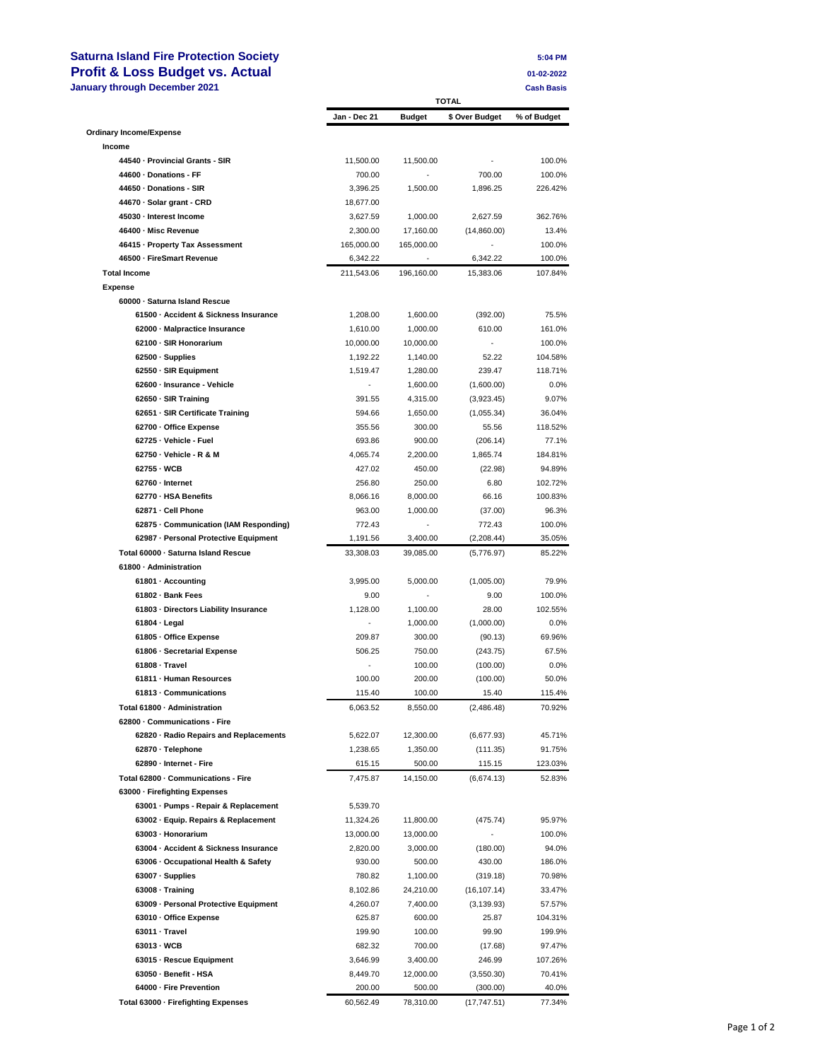## **Saturna Island Fire Protection Society 5:04 PM Profit & Loss Budget vs. Actual <br>
January through December 2021** Cash Basis

| 5:04 PM    |  |
|------------|--|
| 01-02-2022 |  |

| January through December 2021                                 |                        | <b>TOTAL</b>       |                       | <b>Cash Basis</b> |
|---------------------------------------------------------------|------------------------|--------------------|-----------------------|-------------------|
|                                                               | Jan - Dec 21           | <b>Budget</b>      | \$ Over Budget        | % of Budget       |
| <b>Ordinary Income/Expense</b>                                |                        |                    |                       |                   |
| Income                                                        |                        |                    |                       |                   |
| 44540 - Provincial Grants - SIR                               | 11,500.00              | 11,500.00          |                       | 100.0%            |
| 44600 - Donations - FF                                        | 700.00                 |                    | 700.00                | 100.0%            |
| 44650 · Donations - SIR                                       | 3,396.25               | 1,500.00           | 1,896.25              | 226.42%           |
| 44670 · Solar grant - CRD                                     | 18,677.00              |                    |                       |                   |
| 45030 - Interest Income                                       | 3,627.59               | 1,000.00           | 2,627.59              | 362.76%           |
| 46400 - Misc Revenue<br>46415 - Property Tax Assessment       | 2,300.00               | 17,160.00          | (14,860.00)           | 13.4%             |
| 46500 - FireSmart Revenue                                     | 165,000.00             | 165,000.00         |                       | 100.0%<br>100.0%  |
| <b>Total Income</b>                                           | 6,342.22<br>211,543.06 | 196,160.00         | 6,342.22<br>15,383.06 | 107.84%           |
| <b>Expense</b>                                                |                        |                    |                       |                   |
| 60000 - Saturna Island Rescue                                 |                        |                    |                       |                   |
| 61500 - Accident & Sickness Insurance                         | 1,208.00               | 1,600.00           | (392.00)              | 75.5%             |
| 62000 - Malpractice Insurance                                 | 1,610.00               | 1,000.00           | 610.00                | 161.0%            |
| 62100 - SIR Honorarium                                        | 10,000.00              | 10,000.00          |                       | 100.0%            |
| 62500 · Supplies                                              | 1,192.22               | 1,140.00           | 52.22                 | 104.58%           |
| 62550 - SIR Equipment                                         | 1,519.47               | 1,280.00           | 239.47                | 118.71%           |
| 62600 - Insurance - Vehicle                                   |                        | 1,600.00           | (1,600.00)            | 0.0%              |
| 62650 · SIR Training                                          | 391.55                 | 4,315.00           | (3,923.45)            | 9.07%             |
| 62651 - SIR Certificate Training                              | 594.66                 | 1,650.00           | (1,055.34)            | 36.04%            |
| 62700 - Office Expense                                        | 355.56                 | 300.00             | 55.56                 | 118.52%           |
| 62725 - Vehicle - Fuel                                        | 693.86                 | 900.00             | (206.14)              | 77.1%             |
| 62750 - Vehicle - R & M                                       | 4,065.74               | 2,200.00           | 1,865.74              | 184.81%           |
| 62755 - WCB                                                   | 427.02                 | 450.00             | (22.98)               | 94.89%            |
| 62760 - Internet                                              | 256.80                 | 250.00             | 6.80                  | 102.72%           |
| 62770 - HSA Benefits                                          | 8,066.16               | 8,000.00           | 66.16                 | 100.83%           |
| 62871 - Cell Phone                                            | 963.00                 | 1,000.00           | (37.00)               | 96.3%             |
| 62875 - Communication (IAM Responding)                        | 772.43                 |                    | 772.43                | 100.0%            |
| 62987 - Personal Protective Equipment                         | 1,191.56               | 3,400.00           | (2,208.44)            | 35.05%            |
| Total 60000 - Saturna Island Rescue                           | 33,308.03              | 39,085.00          | (5,776.97)            | 85.22%            |
| 61800 - Administration                                        |                        |                    |                       |                   |
| 61801 - Accounting                                            | 3,995.00               | 5,000.00           | (1,005.00)            | 79.9%             |
| 61802 - Bank Fees                                             | 9.00                   |                    | 9.00                  | 100.0%            |
| 61803 - Directors Liability Insurance                         | 1,128.00               | 1,100.00           | 28.00                 | 102.55%           |
| 61804 - Legal                                                 |                        | 1,000.00           | (1,000.00)            | 0.0%              |
| 61805 - Office Expense                                        | 209.87                 | 300.00             | (90.13)               | 69.96%            |
| 61806 - Secretarial Expense                                   | 506.25                 | 750.00             | (243.75)              | 67.5%             |
| 61808 - Travel                                                |                        | 100.00             | (100.00)              | 0.0%              |
| 61811 - Human Resources                                       | 100.00                 | 200.00             | (100.00)              | 50.0%             |
| 61813 Communications                                          | 115.40                 | 100.00             | 15.40                 | 115.4%            |
| Total 61800 - Administration<br>62800 - Communications - Fire | 6,063.52               | 8,550.00           | (2, 486.48)           | 70.92%            |
| 62820 - Radio Repairs and Replacements                        |                        | 12,300.00          | (6,677.93)            |                   |
| 62870 · Telephone                                             | 5,622.07<br>1,238.65   |                    |                       | 45.71%            |
| 62890 - Internet - Fire                                       | 615.15                 | 1,350.00<br>500.00 | (111.35)<br>115.15    | 91.75%<br>123.03% |
| Total 62800 - Communications - Fire                           | 7,475.87               | 14,150.00          | (6,674.13)            | 52.83%            |
| 63000 - Firefighting Expenses                                 |                        |                    |                       |                   |
| 63001 - Pumps - Repair & Replacement                          | 5,539.70               |                    |                       |                   |
| 63002 - Equip. Repairs & Replacement                          | 11,324.26              | 11,800.00          | (475.74)              | 95.97%            |
| 63003 - Honorarium                                            | 13,000.00              | 13,000.00          |                       | 100.0%            |
| 63004 - Accident & Sickness Insurance                         | 2,820.00               | 3,000.00           | (180.00)              | 94.0%             |
| 63006 - Occupational Health & Safety                          | 930.00                 | 500.00             | 430.00                | 186.0%            |
| 63007 · Supplies                                              | 780.82                 | 1,100.00           | (319.18)              | 70.98%            |
| 63008 Training                                                | 8,102.86               | 24,210.00          | (16, 107.14)          | 33.47%            |
| 63009 - Personal Protective Equipment                         | 4,260.07               | 7,400.00           | (3, 139.93)           | 57.57%            |
| 63010 - Office Expense                                        | 625.87                 | 600.00             | 25.87                 | 104.31%           |
| 63011 Travel                                                  | 199.90                 | 100.00             | 99.90                 | 199.9%            |
| 63013 - WCB                                                   | 682.32                 | 700.00             | (17.68)               | 97.47%            |
| 63015 - Rescue Equipment                                      | 3,646.99               | 3,400.00           | 246.99                | 107.26%           |
| 63050 - Benefit - HSA                                         | 8,449.70               | 12,000.00          | (3,550.30)            | 70.41%            |
| 64000 - Fire Prevention                                       | 200.00                 | 500.00             | (300.00)              | 40.0%             |
| Total 63000 - Firefighting Expenses                           | 60,562.49              | 78,310.00          | (17, 747.51)          | 77.34%            |